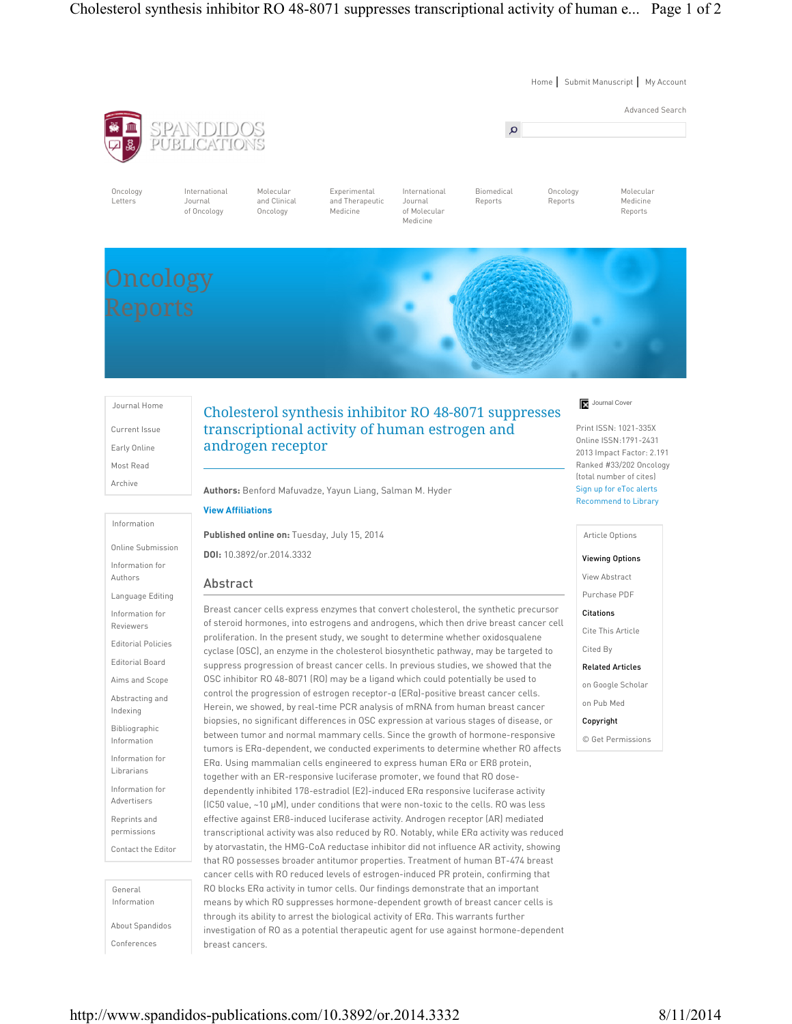Home | Submit Manuscript | My Account



Oncology Letters

International Journal of Oncology

SPANDIDOS<br>PUBLICATIONS

and Clinical Oncology

Molecular

Experimental and Therapeutic Medicine

International Journal of Molecular Medicine

Biomedical Reports

Oncology Reports

Molecular Medicine Reports

Journal Home Current Issue Early Online Most Read Archive

Information

Online Submission Information for Authors Language Editing Information for Reviewers Editorial Policies Editorial Board Aims and Scope Abstracting and Indexing Bibliographic Information Information for Librarians Information for Advertisers Reprints and permissions Contact the Editor

General Information

About Spandidos Conferences

# Cholesterol synthesis inhibitor RO 48-8071 suppresses transcriptional activity of human estrogen and androgen receptor

Authors: Benford Mafuvadze, Yayun Liang, Salman M. Hyder

## View Affiliations

Published online on: Tuesday, July 15, 2014 DOI: 10.3892/or.2014.3332

## Abstract

Breast cancer cells express enzymes that convert cholesterol, the synthetic precursor of steroid hormones, into estrogens and androgens, which then drive breast cancer cell proliferation. In the present study, we sought to determine whether oxidosqualene cyclase (OSC), an enzyme in the cholesterol biosynthetic pathway, may be targeted to suppress progression of breast cancer cells. In previous studies, we showed that the OSC inhibitor RO 48-8071 (RO) may be a ligand which could potentially be used to control the progression of estrogen receptor-α (ERα)-positive breast cancer cells. Herein, we showed, by real-time PCR analysis of mRNA from human breast cancer biopsies, no significant differences in OSC expression at various stages of disease, or between tumor and normal mammary cells. Since the growth of hormone-responsive tumors is ERα-dependent, we conducted experiments to determine whether RO affects ERα. Using mammalian cells engineered to express human ERα or ERβ protein, together with an ER-responsive luciferase promoter, we found that RO dosedependently inhibited 17β-estradiol (E2)-induced ERα responsive luciferase activity (IC50 value, ~10 µM), under conditions that were non-toxic to the cells. RO was less effective against ERβ-induced luciferase activity. Androgen receptor (AR) mediated transcriptional activity was also reduced by RO. Notably, while ERα activity was reduced by atorvastatin, the HMG-CoA reductase inhibitor did not influence AR activity, showing that RO possesses broader antitumor properties. Treatment of human BT-474 breast cancer cells with RO reduced levels of estrogen-induced PR protein, confirming that RO blocks ERα activity in tumor cells. Our findings demonstrate that an important means by which RO suppresses hormone-dependent growth of breast cancer cells is through its ability to arrest the biological activity of ERα. This warrants further investigation of RO as a potential therapeutic agent for use against hormone-dependent breast cancers.

## Journal Cover

Print ISSN: 1021-335X Online ISSN:1791-2431 2013 Impact Factor: 2.191 Ranked #33/202 Oncology (total number of cites) Sign up for eToc alerts Recommend to Library

#### Article Options

## Viewing Options

View Abstract

### Purchase PDF

Citations

Cite This Article

Cited By

## Related Articles

on Google Scholar

on Pub Med

Copyright

© Get Permissions